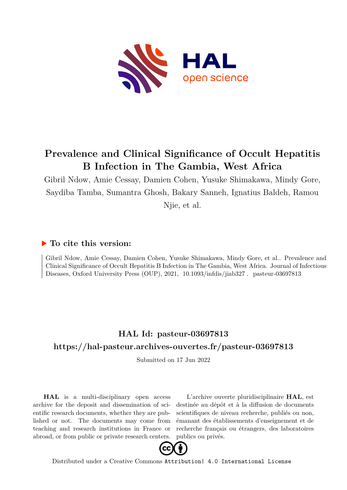

## **Prevalence and Clinical Significance of Occult Hepatitis B Infection in The Gambia, West Africa**

Gibril Ndow, Amie Cessay, Damien Cohen, Yusuke Shimakawa, Mindy Gore, Saydiba Tamba, Sumantra Ghosh, Bakary Sanneh, Ignatius Baldeh, Ramou Njie, et al.

### **To cite this version:**

Gibril Ndow, Amie Cessay, Damien Cohen, Yusuke Shimakawa, Mindy Gore, et al.. Prevalence and Clinical Significance of Occult Hepatitis B Infection in The Gambia, West Africa. Journal of Infectious Diseases, Oxford University Press (OUP), 2021, 10.1093/infdis/jiab327. pasteur-03697813

## **HAL Id: pasteur-03697813 <https://hal-pasteur.archives-ouvertes.fr/pasteur-03697813>**

Submitted on 17 Jun 2022

**HAL** is a multi-disciplinary open access archive for the deposit and dissemination of scientific research documents, whether they are published or not. The documents may come from teaching and research institutions in France or abroad, or from public or private research centers.

L'archive ouverte pluridisciplinaire **HAL**, est destinée au dépôt et à la diffusion de documents scientifiques de niveau recherche, publiés ou non, émanant des établissements d'enseignement et de recherche français ou étrangers, des laboratoires publics ou privés.



Distributed under a Creative Commons [Attribution| 4.0 International License](http://creativecommons.org/licenses/by/4.0/)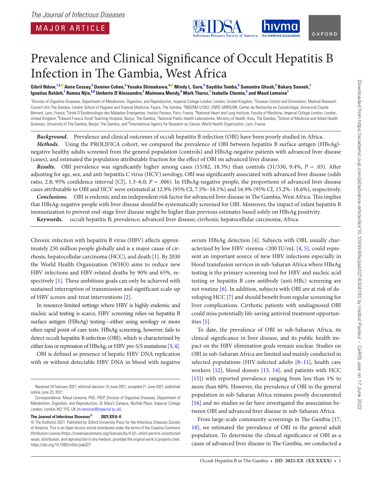

# Prevalence and Clinical Signifcance of Occult Hepatitis B Infection in The Gambia, West Africa

Gibril Ndow,<sup>12©</sup> Amie Cessay,<sup>2</sup> Damien Cohen,<sup>3</sup> Yusuke Shimakawa,<sup>4,©</sup> Mindy L. Gore,<sup>5</sup> Saydiba Tamba,<sup>6</sup> Sumantra Ghosh,<sup>3</sup> Bakary Sanneh,<sup>7</sup>  $1$ gnatius Baldeh,<sup>7</sup> Ramou Njie, $^{6,8}$  Umberto D'Alessandro,<sup>2</sup> Maimuna Mendy,<sup>9</sup> Mark Thursz,<sup>1</sup> Isabelle Chemin,<sup>3</sup> and Maud Lemoine<sup>1</sup>

<sup>1</sup>Division of Digestive Diseases, Department of Metabolism, Digestion, and Reproduction, Imperial College London, London, United Kingdom, <sup>2</sup>Disease Control and Elimination, Medical Research Council Unit The Gambia, London School of Hygiene and Tropical Medicine, Fajara, The Gambia, <sup>3</sup>INSERM U1052, CNRS UMR5286, Center de Recherche en Cancérologie, Université Claude Bernard, Lyon, France, <sup>4</sup>Unité D'Épidémiologie des Maladies Émergentes, Institut Pasteur, Paris, France, <sup>5</sup>National Heart and Lung Institute, Faculty of Medicine, Imperial College London, London, United Kingdom, <sup>6</sup>Edward Francis Small Teaching Hospital, Banjul, The Gambia, <sup>7</sup>National Public Health Laboratories, Ministry of Health, Kotu, The Gambia, <sup>8</sup>School of Medicine and Allied Health Sciences, University of The Gambia, Banjul, The Gambia, and <sup>9</sup>International Agency for Research on Cancer, World Health Organization, Lyon, France

*Background.* Prevalence and clinical outcomes of occult hepatitis B infection (OBI) have been poorly studied in Africa. *Methods.* Using the PROLIFICA cohort, we compared the prevalence of OBI between hepatitis B surface antigen (HBsAg) negative healthy adults screened from the general population (controls) and HBsAg-negative patients with advanced liver disease (cases), and estimated the population attributable fraction for the efect of OBI on advanced liver disease.

*Results.* OBI prevalence was signifcantly higher among cases (15/82, 18.3%) than controls (31/330, 9.4%, *P* = .03). Afer adjusting for age, sex, and anti-hepatitis C virus (HCV) serology, OBI was signifcantly associated with advanced liver disease (odds ratio, 2.8; 95% confidence interval [CI], 1.3–6.0; *P* = .006). In HBsAg-negative people, the proportions of advanced liver disease cases attributable to OBI and HCV were estimated at 12.9% (95% CI, 7.5%–18.1%) and 16.9% (95% CI, 15.2%–18.6%), respectively.

**Conclusions.** OBI is endemic and an independent risk factor for advanced liver disease in The Gambia, West Africa. This implies that HBsAg-negative people with liver disease should be systematically screened for OBI. Moreover, the impact of infant hepatitis B immunization to prevent end-stage liver disease might be higher than previous estimates based solely on HBsAg positivity.

**Keywords.** occult hepatitis B; prevalence; advanced liver disease; cirrhosis; hepatocellular carcinoma; Africa.

Chronic infection with hepatitis B virus (HBV) affects approximately 250 million people globally and is a major cause of cirrhosis, hepatocellular carcinoma (HCC), and death [1]. By 2030 the World Health Organization (WHO) aims to reduce new HBV infections and HBV-related deaths by 90% and 65%, respectively [1]. These ambitious goals can only be achieved with sustained interruption of transmission and significant scale-up of HBV screen-and-treat interventions [2].

In resource-limited settings where HBV is highly endemic and nucleic acid testing is scarce, HBV screening relies on hepatitis B surface antigen (HBsAg) testing—either using serology or more ofen rapid point-of-care tests. HBsAg screening, however, fails to detect occult hepatitis B infection (OBI), which is characterized by either loss or repression of HBsAg, or HBV pre-S/S mutations [3, 4].

OBI is defned as presence of hepatic HBV DNA replication with or without detectable HBV DNA in blood with negative

#### **The Journal of Infectious Diseases® 2021;XX:0–0**

serum HBsAg detection [4]. Subjects with OBI, usually characterized by low HBV viremia <200 IU/mL [4, 5], could represent an important source of new HBV infections especially in blood transfusion services in sub-Saharan Africa where HBsAg testing is the primary screening tool for HBV and nucleic acid testing or hepatitis B core antibody (anti-HBc) screening are not routine [6]. In addition, subjects with OBI are at risk of developing HCC [7] and should beneft from regular screening for liver complications. Cirrhotic patients with undiagnosed OBI could miss potentially life-saving antiviral treatment opportunities [5].

To date, the prevalence of OBI in sub-Saharan Africa, its clinical signifcance in liver disease, and its public health impact on the HBV elimination goals remain unclear. Studies on OBI in sub-Saharan Africa are limited and mainly conducted in selected populations (HIV-infected adults  $[8-11]$ , health care workers [12], blood donors [13, 14], and patients with HCC [15]) with reported prevalence ranging from less than 1% to more than 60%. However, the prevalence of OBI in the general population in sub-Saharan Africa remains poorly documented [16] and no studies so far have investigated the association between OBI and advanced liver disease in sub-Saharan Africa.

From large-scale community screenings in The Gambia [17, 18], we estimated the prevalence of OBI in the general adult population. To determine the clinical signifcance of OBI as a cause of advanced liver disease in The Gambia, we conducted a

Received 24 February 2021; editorial decision 15 June 2021; accepted 21 June 2021; published online June 23, 2021.

Correspondence: Maud Lemoine, PhD, FRCP, Division of Digestive Diseases, Department of Metabolism, Digestion, and Reproduction, St Mary's Campus, Norfolk Place, Imperial College London, London W2 1PG, UK [\(m.lemoine@imperial.ac.uk\)](mailto:m.lemoine@imperial.ac.uk?subject=).

<sup>©</sup> The Author(s) 2021. Published by Oxford University Press for the Infectious Diseases Society of America. This is an Open Access article distributed under the terms of the Creative Commons Attribution License (https://creativecommons.org/licenses/by/4.0/), which permits unrestricted reuse, distribution, and reproduction in any medium, provided the original work is properly cited. https://doi.org/10.1093/infdis/jiab327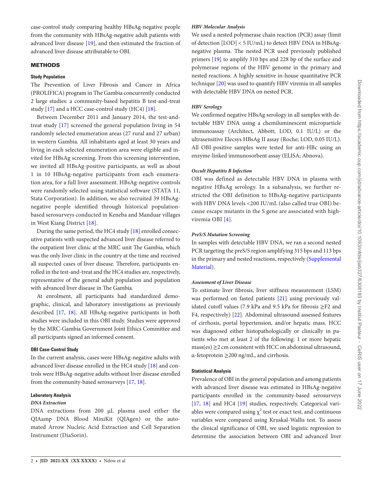case-control study comparing healthy HBsAg-negative people from the community with HBsAg-negative adult patients with advanced liver disease [19], and then estimated the fraction of advanced liver disease attributable to OBI.

#### **METHODS**

#### **Study Population**

The Prevention of Liver Fibrosis and Cancer in Africa (PROLIFICA) program in The Gambia concurrently conducted 2 large studies: a community-based hepatitis B test-and-treat study [17] and a HCC case-control study (HC4) [18].

Between December 2011 and January 2014, the test-andtreat study [17] screened the general population living in 54 randomly selected enumeration areas (27 rural and 27 urban) in western Gambia. All inhabitants aged at least 30 years and living in each selected enumeration area were eligible and invited for HBsAg screening. From this screening intervention, we invited all HBsAg-positive participants, as well as about 1 in 10 HBsAg-negative participants from each enumeration area, for a full liver assessment. HBsAg-negative controls were randomly selected using statistical software (STATA 11, Stata Corporation). In addition, we also recruited 39 HBsAgnegative people identifed through historical populationbased serosurveys conducted in Keneba and Manduar villages in West Kiang District [18].

During the same period, the HC4 study [18] enrolled consecutive patients with suspected advanced liver disease referred to the outpatient liver clinic at the MRC unit The Gambia, which was the only liver clinic in the country at the time and received all suspected cases of liver disease. Therefore, participants enrolled in the test-and-treat and the HC4 studies are, respectively, representative of the general adult population and population with advanced liver disease in The Gambia.

At enrolment, all participants had standardized demographic, clinical, and laboratory investigations as previously described [17, 18]. All HBsAg-negative participants in both studies were included in this OBI study. Studies were approved by the MRC-Gambia Government Joint Ethics Committee and all participants signed an informed consent.

#### **OBI Case-Control Study**

In the current analysis, cases were HBsAg-negative adults with advanced liver disease enrolled in the HC4 study [18] and controls were HBsAg-negative adults without liver disease enrolled from the community-based serosurveys [17, 18].

#### **Laboratory Analysis**

#### *DNA Extraction*

DNA extractions from 200 µL plasma used either the QIAamp DNA Blood MiniKit (QIAgen) or the automated Arrow Nucleic Acid Extraction and Cell Separation Instrument (DiaSorin).

#### *HBV Molecular Analysis*

We used a nested polymerase chain reaction (PCR) assay (limit of detection [LOD] < 5 IU/mL) to detect HBV DNA in HBsAgnegative plasma. The nested PCR used previously published primers [19] to amplify 310 bps and 228 bp of the surface and polymerase regions of the HBV genome in the primary and nested reactions. A highly sensitive in-house quantitative PCR technique [20] was used to quantify HBV viremia in all samples with detectable HBV DNA on nested PCR.

#### *HBV Serology*

We confirmed negative HBsAg serology in all samples with detectable HBV DNA using a chemiluminescent microparticle immunoassay (Architect, Abbott; LOD, 0.1 IU/L) or the ultrasensitive Elecsys HBsAg II assay (Roche; LOD, 0.05 IU/L). All OBI-positive samples were tested for anti-HBc using an enzyme-linked immunosorbent assay (ELISA; Abnova).

#### *Occult Hepatitis B Infection*

OBI was defined as detectable HBV DNA in plasma with negative HBsAg serology. In a subanalysis, we further restricted the OBI definition to HBsAg-negative participants with HBV DNA levels <200 IU/mL (also called true OBI) because escape mutants in the S gene are associated with highviremia OBI [4].

#### *PreS/S Mutation Screening*

In samples with detectable HBV DNA, we ran a second nested PCR targeting the preS/S region amplifying 315 bps and 113 bps in the primary and nested reactions, respectively [\(Supplemental](http://academic.oup.com/jid/article-lookup/doi/10.1093/infdis/jiab327#supplementary-data)  [Material\)](http://academic.oup.com/jid/article-lookup/doi/10.1093/infdis/jiab327#supplementary-data).

#### *Assessment of Liver Disease*

To estimate liver fibrosis, liver stiffness measurement (LSM) was performed on fasted patients [21] using previously validated cutoff values (7.9 kPa and 9.5 kPa for fibrosis ≥F2 and F4, respectively) [22]. Abdominal ultrasound assessed features of cirrhosis, portal hypertension, and/or hepatic mass. HCC was diagnosed either histopathologically or clinically in patients who met at least 2 of the following: 1 or more hepatic  $mass(es) \geq 2$  cm consistent with HCC on abdominal ultrasound, α-fetoprotein ≥200 ng/mL, and cirrhosis.

#### **Statistical Analysis**

Prevalence of OBI in the general population and among patients with advanced liver disease was estimated in HBsAg-negative participants enrolled in the community-based serosurveys [17, 18] and HC4 [19] studies, respectively. Categorical variables were compared using  $\chi^2$  test or exact test, and continuous variables were compared using Kruskal-Wallis test. To assess the clinical significance of OBI, we used logistic regression to determine the association between OBI and advanced liver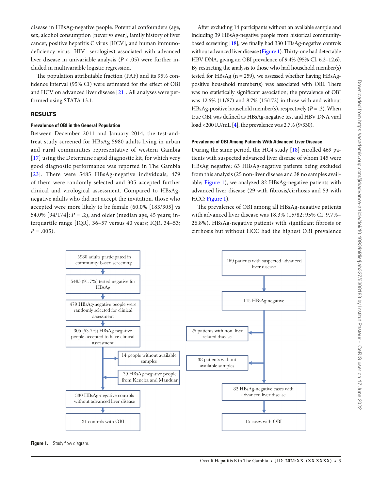disease in HBsAg-negative people. Potential confounders (age, sex, alcohol consumption [never vs ever], family history of liver cancer, positive hepatitis C virus [HCV], and human immunodeficiency virus [HIV] serologies) associated with advanced liver disease in univariable analysis  $(P < .05)$  were further included in multivariable logistic regression.

The population attributable fraction (PAF) and its 95% confidence interval (95% CI) were estimated for the effect of OBI and HCV on advanced liver disease [21]. All analyses were performed using STATA 13.1.

#### RESULTS

#### **Prevalence of OBI in the General Population**

Between December 2011 and January 2014, the test-andtreat study screened for HBsAg 5980 adults living in urban and rural communities representative of western Gambia [17] using the Determine rapid diagnostic kit, for which very good diagnostic performance was reported in The Gambia [23]. There were 5485 HBsAg-negative individuals; 479 of them were randomly selected and 305 accepted further clinical and virological assessment. Compared to HBsAgnegative adults who did not accept the invitation, those who accepted were more likely to be female (60.0% [183/305] vs 54.0% [94/174]; *P* = .2), and older (median age, 45 years; interquartile range [IQR], 36–57 versus 40 years; IQR, 34–53;  $P = .005$ ).

Afer excluding 14 participants without an available sample and including 39 HBsAg-negative people from historical communitybased screening [18], we fnally had 330 HBsAg-negative controls without advanced liver disease (Figure 1). Thirty-one had detectable HBV DNA, giving an OBI prevalence of 9.4% (95% CI, 6.2–12.6). By restricting the analysis to those who had household member(s) tested for HBsAg  $(n = 259)$ , we assessed whether having HBsAgpositive household member(s) was associated with OBI. There was no statistically signifcant association; the prevalence of OBI was 12.6% (11/87) and 8.7% (15/172) in those with and without HBsAg-positive household member(s), respectively (*P* = .3). When true OBI was defned as HBsAg-negative test and HBV DNA viral load <200 IU/mL [4], the prevalence was 2.7% (9/330).

#### **Prevalence of OBI Among Patients With Advanced Liver Disease**

During the same period, the HC4 study [18] enrolled 469 patients with suspected advanced liver disease of whom 145 were HBsAg negative; 63 HBsAg-negative patients being excluded from this analysis (25 non-liver disease and 38 no samples available; Figure 1), we analyzed 82 HBsAg-negative patients with advanced liver disease (29 with fibrosis/cirrhosis and 53 with HCC; Figure 1).

The prevalence of OBI among all HBsAg-negative patients with advanced liver disease was 18.3% (15/82; 95% CI, 9.7%– 26.8%). HBsAg-negative patients with signifcant fbrosis or cirrhosis but without HCC had the highest OBI prevalence



**Figure 1.** Study flow diagram.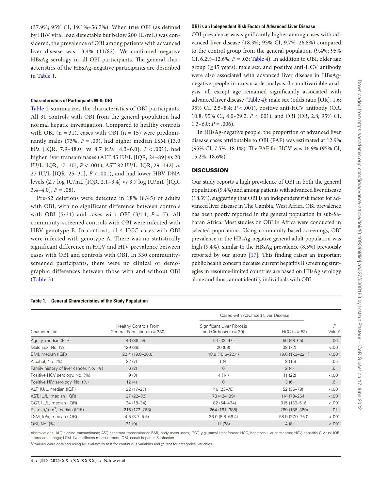(37.9%; 95% CI, 19.1%–56.7%). When true OBI (as defned by HBV viral load detectable but below 200 IU/mL) was considered, the prevalence of OBI among patients with advanced liver disease was 13.4% (11/82). We confrmed negative HBsAg serology in all OBI participants. The general characteristics of the HBsAg-negative participants are described in Table 1.

#### **Characteristics of Participants With OBI**

Table 2 summarizes the characteristics of OBI participants. All 31 controls with OBI from the general population had normal hepatic investigation. Compared to healthy controls with OBI ( $n = 31$ ), cases with OBI ( $n = 15$ ) were predominantly males (73%,  $P = .03$ ), had higher median LSM (13.0) kPa [IQR, 7.9–48.0] vs 4.7 kPa [4.3–6.0]; *P* < .001), had higher liver transaminases (ALT 45 IU/L [IQR, 24–89] vs 20 IU/L [IQR, 17–30], *P* < .001); AST 82 IU/L [IQR, 29–142] vs 27 IU/L [IQR, 25–31], *P* < .001), and had lower HBV DNA levels (2.7 log IU/mL [IQR, 2.1–3.4] vs 3.7 log IU/mL [IQR,  $3.4-4.0$ ,  $P = .08$ ).

Pre-S2 deletions were detected in 18% (8/45) of adults with OBI, with no significant difference between controls with OBI (5/31) and cases with OBI (3/14; *P* = .7). All community-screened controls with OBI were infected with HBV genotype E. In contrast, all 4 HCC cases with OBI were infected with genotype A. There was no statistically significant difference in HCV and HIV prevalence between cases with OBI and controls with OBI. In 330 communityscreened participants, there were no clinical or demographic differences between those with and without OBI (Table 3).

#### **OBI is an Independent Risk Factor of Advanced Liver Disease**

OBI prevalence was significantly higher among cases with advanced liver disease (18.3%; 95% CI, 9.7%–26.8%) compared to the control group from the general population (9.4%; 95% CI, 6.2%–12.6%; *P* = .03; Table 4). In addition to OBI, older age group ( $\geq$ 45 years), male sex, and positive anti-HCV antibody were also associated with advanced liver disease in HBsAgnegative people in univariable analysis. In multivariable analysis, all except age remained significantly associated with advanced liver disease (Table 4): male sex (odds ratio [OR], 1.6; 95% CI, 2.5–8.4; *P* < .001), positive anti-HCV antibody (OR, 10.8; 95% CI, 4.0–29.2; *P* < .001), and OBI (OR, 2.8; 95% CI,  $1.3-6.0; P = .006$ .

In HBsAg-negative people, the proportion of advanced liver disease cases attributable to OBI (PAF) was estimated at 12.9% (95% CI, 7.5%-18.1%). The PAF for HCV was 16.9% (95% CI, 15.2%–18.6%).

#### **DISCUSSION**

Our study reports a high prevalence of OBI in both the general population (9.4%) and among patients with advanced liver disease (18.3%), suggesting that OBI is an independent risk factor for advanced liver disease in The Gambia, West Africa. OBI prevalence has been poorly reported in the general population in sub-Saharan Africa. Most studies on OBI in Africa were conducted in selected populations. Using community-based screenings, OBI prevalence in the HBsAg-negative general adult population was high (9.4%), similar to the HBsAg prevalence (8.5%) previously reported by our group [17]. This finding raises an important public health concern because current hepatitis B screening strategies in resource-limited countries are based on HBsAg serology alone and thus cannot identify individuals with OBI.

#### **Table 1. General Characteristics of the Study Population**

|                                         |                                                              | Cases with Advanced Liver Disease                        |                  |                         |
|-----------------------------------------|--------------------------------------------------------------|----------------------------------------------------------|------------------|-------------------------|
| Characteristic                          | <b>Healthy Controls From</b><br>General Population (n = 330) | Significant Liver Fibrosis<br>and Cirrhosis ( $n = 29$ ) | $HCC (n = 53)$   | P<br>Value <sup>a</sup> |
| Age, y, median (IQR)                    | 46 (36-59)                                                   | $53(33-67)$                                              | 56 (48-65)       | .06                     |
| Male sex, No. (%)                       | 129 (39)                                                     | 20 (69)                                                  | 38 (72)          | < .001                  |
| BMI, median (IQR)                       | 22.4 (19.8-26.0)                                             | 18.9 (15.6-22.4)                                         | 19.6 (17.3-22.1) | < .001                  |
| Alcohol, No. (%)                        | 22(7)                                                        | 1(4)                                                     | 8(15)            | .05                     |
| Family history of liver cancer, No. (%) | 6(2)                                                         | $\mathbf{0}$                                             | 2(4)             | $.6\,$                  |
| Positive HCV serology, No. (%)          | 9(3)                                                         | 4(14)                                                    | 11(22)           | < .001                  |
| Positive HIV serology, No. (%)          | 12(4)                                                        | $\overline{0}$                                           | 3(6)             | 6.6                     |
| ALT, IU/L, median (IQR)                 | $22(17-27)$                                                  | 46 (23-76)                                               | 52 (35-79)       | < .001                  |
| AST, IU/L, median (IQR)                 | $27(22-32)$                                                  | 78 (42-139)                                              | 114 (73-264)     | < .001                  |
| GGT, IU/L, median (IQR)                 | 24 (18-34)                                                   | 182 (54-434)                                             | 315 (139-516)    | < .001                  |
| Platelet/mm <sup>3</sup> , median (IQR) | 216 (172-268)                                                | 264 (161-385)                                            | 269 (186-369)    | .01                     |
| LSM, kPa, median (IQR)                  | $4.5(3.7-5.5)$                                               | 26.0 (8.8-66.4)                                          | 58.9 (27.0-75.0) | < .001                  |
| OBI, No. (%)                            | 31(9)                                                        | 11(38)                                                   | 4(8)             | < .001                  |

Abbreviations: ALT, alanine transaminase; AST, aspartate transaminase; BMI, body mass index; GGT, γ-glutamyl transferase; HCC, hepatocellular carcinoma; HCV, hepatitis C virus; IQR, interquartile range; LSM, liver stiffness measurement; OBI, occult hepatitis B infection.

<sup>a</sup>P values were obtained using Kruskal-Wallis test for continuous variables and χ<sup>2</sup> test for categorical variables.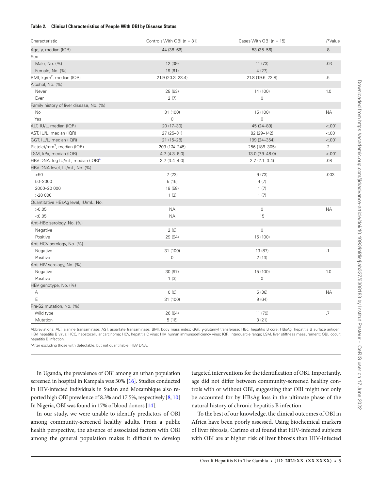#### **Table 2. Clinical Characteristics of People With OBI by Disease Status**

| Characteristic                                | Controls With OBI ( $n = 31$ ) | Cases With OBI ( $n = 15$ ) | PValue    |
|-----------------------------------------------|--------------------------------|-----------------------------|-----------|
| Age, y, median (IQR)                          | 44 (38-66)                     | 53 (35-56)                  | 8.        |
| Sex                                           |                                |                             |           |
| Male, No. (%)                                 | 12 (39)                        | 11(73)                      | .03       |
| Female, No. (%)                               | 19 (61)                        | 4(27)                       |           |
| BMI, kg/m <sup>2</sup> , median (IQR)         | 21.9 (20.3-23.4)               | 21.8 (19.6-22.8)            | .5        |
| Alcohol, No. (%)                              |                                |                             |           |
| Never                                         | 28 (93)                        | 14 (100)                    | 1.0       |
| Ever                                          | 2(7)                           | $\mathsf{O}\xspace$         |           |
| Family history of liver disease, No. (%)      |                                |                             |           |
| No                                            | 31 (100)                       | 15 (100)                    | <b>NA</b> |
| Yes                                           | $\mathsf{O}\xspace$            | $\mathbf 0$                 |           |
| ALT, IU/L, median (IQR)                       | 20 (17-30)                     | 45 (24-89)                  | < .001    |
| AST, IU/L, median (IQR)                       | 27 (25-31)                     | 82 (29-142)                 | < .001    |
| GGT, IU/L, median (IQR)                       | $21(15 - 28)$                  | 199 (24-354)                | < .001    |
| Platelet/mm <sup>3</sup> , median (IQR)       | 203 (174-245)                  | 256 (186-305)               | $\cdot$ 2 |
| LSM, kPa, median (IQR)                        | $4.7(4.3 - 6.0)$               | 13.0 (7.9-48.0)             | < .001    |
| HBV DNA, log IU/mL, median (IQR) <sup>a</sup> | $3.7(3.4 - 4.0)$               | $2.7(2.1 - 3.4)$            | .08       |
| HBV DNA level, IU/mL, No. (%)                 |                                |                             |           |
| < 50                                          | 7(23)                          | 9(73)                       | .003      |
| $50 - 2000$                                   | 5(16)                          | 4(7)                        |           |
| 2000-20 000                                   | 18 (58)                        | 1(7)                        |           |
| >20000                                        | 1(3)                           | 1(7)                        |           |
| Quantitative HBsAg level, IU/mL, No.          |                                |                             |           |
| >0.05                                         | <b>NA</b>                      | 0                           | <b>NA</b> |
| < 0.05                                        | <b>NA</b>                      | 15                          |           |
| Anti-HBc serology, No. (%)                    |                                |                             |           |
| Negative                                      | 2(6)                           | 0                           |           |
| Positive                                      | 29 (94)                        | 15 (100)                    |           |
| Anti-HCV serology, No. (%)                    |                                |                             |           |
| Negative                                      | 31 (100)                       | 13 (87)                     | $\cdot$ 1 |
| Positive                                      | $\mathsf{O}\xspace$            | 2(13)                       |           |
| Anti-HIV serology, No. (%)                    |                                |                             |           |
| Negative                                      | 30 (97)                        | 15 (100)                    | 1.0       |
| Positive                                      | 1(3)                           | $\mathsf{O}\xspace$         |           |
| HBV genotype, No. (%)                         |                                |                             |           |
| Α                                             | 0(0)                           | 5(36)                       | <b>NA</b> |
| E                                             | 31 (100)                       | 9(64)                       |           |
| Pre-S2 mutation, No. (%)                      |                                |                             |           |
| Wild type                                     | 26 (84)                        | 11 (79)                     | .7        |
| Mutation                                      | 5(16)                          | 3(21)                       |           |

Abbreviations: ALT, alanine transaminase; AST, aspartate transaminase; BMI, body mass index; GGT, y-glutamyl transferase; HBc, hepatitis B core; HBsAg, hepatitis B surface antigen; HBV, hepatitis B virus; HCC, hepatocellular carcinoma; HCV, hepatitis C virus; HIV, human immunodeficiency virus; IQR, interquartile range; LSM, liver stiffness measurement; OBI, occult hepatitis B infection.

<sup>a</sup>After excluding those with detectable, but not quantifiable, HBV DNA.

In Uganda, the prevalence of OBI among an urban population screened in hospital in Kampala was 30% [16]. Studies conducted in HIV-infected individuals in Sudan and Mozambique also reported high OBI prevalence of 8.3% and 17.5%, respectively [8, 10] In Nigeria, OBI was found in 17% of blood donors [14].

In our study, we were unable to identify predictors of OBI among community-screened healthy adults. From a public health perspective, the absence of associated factors with OBI among the general population makes it difficult to develop

targeted interventions for the identifcation of OBI. Importantly, age did not difer between community-screened healthy controls with or without OBI, suggesting that OBI might not only be accounted for by HBsAg loss in the ultimate phase of the natural history of chronic hepatitis B infection.

To the best of our knowledge, the clinical outcomes of OBI in Africa have been poorly assessed. Using biochemical markers of liver fbrosis, Carimo et al found that HIV-infected subjects with OBI are at higher risk of liver fbrosis than HIV-infected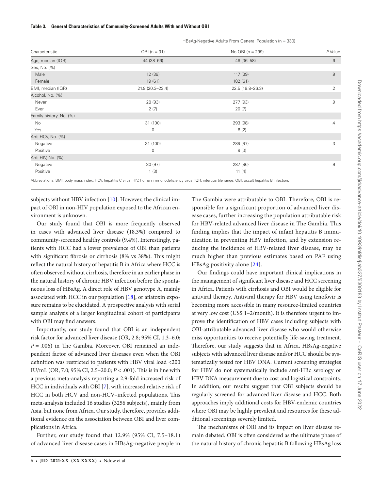#### **Table 3. General Characteristics of Community-Screened Adults With and Without OBI**

| Characteristic          | HBsAg-Negative Adults From General Population (n = 330) |                  |            |
|-------------------------|---------------------------------------------------------|------------------|------------|
|                         | $OBI(n = 31)$                                           | No OBI (n = 299) | PValue     |
| Age, median (IQR)       | 44 (38-66)                                              | 46 (36-58)       | $.6\,$     |
| Sex, No. (%)            |                                                         |                  |            |
| Male                    | 12 (39)                                                 | 117 (39)         | .9         |
| Female                  | 19 (61)                                                 | 182 (61)         |            |
| BMI, median (IQR)       | 21.9 (20.3-23.4)                                        | 22.5 (19.8-26.3) | $\cdot$ .2 |
| Alcohol, No. (%)        |                                                         |                  |            |
| Never                   | 28 (93)                                                 | 277 (93)         | .9         |
| Ever                    | 2(7)                                                    | 20(7)            |            |
| Family history, No. (%) |                                                         |                  |            |
| No                      | 31 (100)                                                | 293 (98)         | .4         |
| Yes                     | $\mathbf 0$                                             | 6(2)             |            |
| Anti-HCV, No. (%)       |                                                         |                  |            |
| Negative                | 31 (100)                                                | 289 (97)         | $.3\,$     |
| Positive                | 0                                                       | 9(3)             |            |
| Anti-HIV, No. (%)       |                                                         |                  |            |
| Negative                | 30(97)                                                  | 287 (96)         | .9         |
| Positive                | 1(3)                                                    | 11(4)            |            |

Abbreviations: BMI, body mass index; HCV, hepatitis C virus; HIV, human immunodefciency virus; IQR, interquartile range; OBI, occult hepatitis B infection.

subjects without HBV infection [10]. However, the clinical impact of OBI in non-HIV population exposed to the African environment is unknown.

Our study found that OBI is more frequently observed in cases with advanced liver disease (18.3%) compared to community-screened healthy controls (9.4%). Interestingly, patients with HCC had a lower prevalence of OBI than patients with significant fibrosis or cirrhosis (8% vs 38%). This might refect the natural history of hepatitis B in Africa where HCC is ofen observed without cirrhosis, therefore in an earlier phase in the natural history of chronic HBV infection before the spontaneous loss of HBsAg. A direct role of HBV genotype A, mainly associated with HCC in our population  $[18]$ , or aflatoxin exposure remains to be elucidated. A prospective analysis with serial sample analysis of a larger longitudinal cohort of participants with OBI may fnd answers.

Importantly, our study found that OBI is an independent risk factor for advanced liver disease (OR, 2.8; 95% CI, 1.3–6.0;  $P = .006$ ) in The Gambia. Moreover, OBI remained an independent factor of advanced liver diseases even when the OBI defnition was restricted to patients with HBV viral load <200 IU/mL (OR, 7.0; 95% CI, 2.5-20.0;  $P < .001$ ). This is in line with a previous meta-analysis reporting a 2.9-fold increased risk of HCC in individuals with OBI [7], with increased relative risk of HCC in both HCV and non-HCV-infected populations. This meta-analysis included 16 studies (3256 subjects), mainly from Asia, but none from Africa. Our study, therefore, provides additional evidence on the association between OBI and liver complications in Africa.

Further, our study found that 12.9% (95% CI, 7.5–18.1) of advanced liver disease cases in HBsAg-negative people in The Gambia were attributable to OBI. Therefore, OBI is responsible for a significant proportion of advanced liver disease cases, further increasing the population attributable risk for HBV-related advanced liver disease in The Gambia. This finding implies that the impact of infant hepatitis B immunization in preventing HBV infection, and by extension reducing the incidence of HBV-related liver disease, may be much higher than previous estimates based on PAF using HBsAg positivity alone [24].

Our fndings could have important clinical implications in the management of signifcant liver disease and HCC screening in Africa. Patients with cirrhosis and OBI would be eligible for antiviral therapy. Antiviral therapy for HBV using tenofovir is becoming more accessible in many resource-limited countries at very low cost (US\$ 1–2/month). It is therefore urgent to improve the identifcation of HBV cases including subjects with OBI-attributable advanced liver disease who would otherwise miss opportunities to receive potentially life-saving treatment. Therefore, our study suggests that in Africa, HBsAg-negative subjects with advanced liver disease and/or HCC should be systematically tested for HBV DNA. Current screening strategies for HBV do not systematically include anti-HBc serology or HBV DNA measurement due to cost and logistical constraints. In addition, our results suggest that OBI subjects should be regularly screened for advanced liver disease and HCC. Both approaches imply additional costs for HBV-endemic countries where OBI may be highly prevalent and resources for these additional screenings severely limited.

The mechanisms of OBI and its impact on liver disease remain debated. OBI is often considered as the ultimate phase of the natural history of chronic hepatitis B following HBsAg loss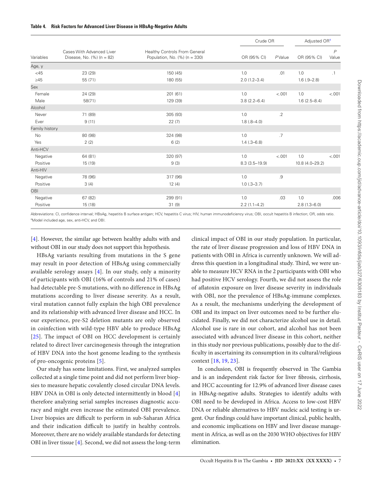| Variables      | Cases With Advanced Liver<br>Disease, No. $(\%)$ (n = 82) | Healthy Controls From General<br>Population, No. $(\%)(n = 330)$ | Crude OR          |                 | Adjusted OR <sup>a</sup> |                         |
|----------------|-----------------------------------------------------------|------------------------------------------------------------------|-------------------|-----------------|--------------------------|-------------------------|
|                |                                                           |                                                                  | OR (95% CI)       | PValue          | OR (95% CI)              | $\overline{P}$<br>Value |
| Age, y         |                                                           |                                                                  |                   |                 |                          |                         |
| $<$ 45         | 23 (29)                                                   | 150 (45)                                                         | 1.0               | .01             | 1.0                      | .1                      |
| $\geq 45$      | 55 (71)                                                   | 180 (55)                                                         | $2.0(1.2 - 3.4)$  |                 | $1.6(.9-2.8)$            |                         |
| Sex            |                                                           |                                                                  |                   |                 |                          |                         |
| Female         | 24 (29)                                                   | 201 (61)                                                         | 1.0               | < .001          | 1.0                      | $-.001$                 |
| Male           | 58(71)                                                    | 129 (39)                                                         | $3.8(2.2 - 6.4)$  |                 | $1.6(2.5 - 8.4)$         |                         |
| Alcohol        |                                                           |                                                                  |                   |                 |                          |                         |
| Never          | 71 (89)                                                   | 305 (93)                                                         | 1.0               | $.2\phantom{0}$ |                          |                         |
| Ever           | 9(11)                                                     | 22(7)                                                            | $1.8(.8 - 4.0)$   |                 |                          |                         |
| Family history |                                                           |                                                                  |                   |                 |                          |                         |
| No             | 80 (98)                                                   | 324 (98)                                                         | 1.0               | .7              |                          |                         |
| Yes            | 2(2)                                                      | 6(2)                                                             | $1.4(.3 - 6.8)$   |                 |                          |                         |
| Anti-HCV       |                                                           |                                                                  |                   |                 |                          |                         |
| Negative       | 64 (81)                                                   | 320 (97)                                                         | 1.0               | < .001          | 1.0                      | $-.001$                 |
| Positive       | 15 (19)                                                   | 9(3)                                                             | $8.3(3.5 - 19.9)$ |                 | 10.8 (4.0-29.2)          |                         |
| Anti-HIV       |                                                           |                                                                  |                   |                 |                          |                         |
| Negative       | 78 (96)                                                   | 317 (96)                                                         | 1.0               | .9              |                          |                         |
| Positive       | 3(4)                                                      | 12(4)                                                            | $1.0$ (.3-3.7)    |                 |                          |                         |
| OBI            |                                                           |                                                                  |                   |                 |                          |                         |
| Negative       | 67 (82)                                                   | 299 (91)                                                         | 1.0               | .03             | 1.0                      | .006                    |
| Positive       | 15 (18)                                                   | 31(9)                                                            | $2.2(1.1-4.2)$    |                 | $2.8(1.3 - 6.0)$         |                         |

Abbreviations: CI, confidence interval; HBsAg, hepatitis B surface antigen; HCV, hepatitis C virus; HIV, human immunodeficiency virus; OBI, occult hepatitis B infection; OR, odds ratio. aModel included age, sex, anti-HCV, and OBI.

[4]. However, the similar age between healthy adults with and without OBI in our study does not support this hypothesis.

HBsAg variants resulting from mutations in the S gene may result in poor detection of HBsAg using commercially available serology assays [4]. In our study, only a minority of participants with OBI (16% of controls and 21% of cases) had detectable pre-S mutations, with no difference in HBsAg mutations according to liver disease severity. As a result, viral mutation cannot fully explain the high OBI prevalence and its relationship with advanced liver disease and HCC. In our experience, pre-S2 deletion mutants are only observed in coinfection with wild-type HBV able to produce HBsAg [25]. The impact of OBI on HCC development is certainly related to direct liver carcinogenesis through the integration of HBV DNA into the host genome leading to the synthesis of pro-oncogenic proteins [5].

Our study has some limitations. First, we analyzed samples collected at a single time point and did not perform liver biopsies to measure hepatic covalently closed circular DNA levels. HBV DNA in OBI is only detected intermittently in blood [4] therefore analyzing serial samples increases diagnostic accuracy and might even increase the estimated OBI prevalence. Liver biopsies are difficult to perform in sub-Saharan Africa and their indication difficult to justify in healthy controls. Moreover, there are no widely available standards for detecting OBI in liver tissue [4]. Second, we did not assess the long-term

clinical impact of OBI in our study population. In particular, the rate of liver disease progression and loss of HBV DNA in patients with OBI in Africa is currently unknown. We will address this question in a longitudinal study. Third, we were unable to measure HCV RNA in the 2 participants with OBI who had positive HCV serology. Fourth, we did not assess the role of afatoxin exposure on liver disease severity in individuals with OBI, nor the prevalence of HBsAg-immune complexes. As a result, the mechanisms underlying the development of OBI and its impact on liver outcomes need to be further elucidated. Finally, we did not characterize alcohol use in detail. Alcohol use is rare in our cohort, and alcohol has not been associated with advanced liver disease in this cohort, neither in this study nor previous publications, possibly due to the diffculty in ascertaining its consumption in its cultural/religious context [18, 19, 23].

In conclusion, OBI is frequently observed in The Gambia and is an independent risk factor for liver fbrosis, cirrhosis, and HCC accounting for 12.9% of advanced liver disease cases in HBsAg-negative adults. Strategies to identify adults with OBI need to be developed in Africa. Access to low-cost HBV DNA or reliable alternatives to HBV nucleic acid testing is urgent. Our fndings could have important clinical, public health, and economic implications on HBV and liver disease management in Africa, as well as on the 2030 WHO objectives for HBV elimination.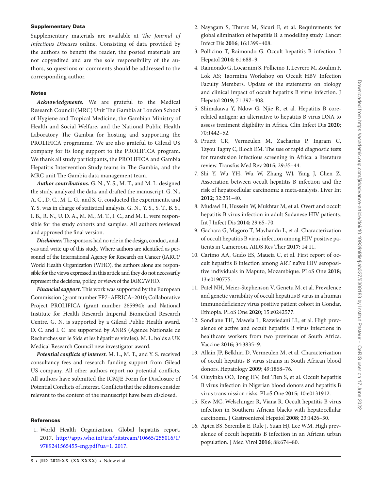#### Supplementary Data

Supplementary materials are available at *The Journal of Infectious Diseases* online. Consisting of data provided by the authors to beneft the reader, the posted materials are not copyedited and are the sole responsibility of the authors, so questions or comments should be addressed to the corresponding author.

#### **Notes**

*Acknowledgments.* We are grateful to the Medical Research Council (MRC) Unit The Gambia at London School of Hygiene and Tropical Medicine, the Gambian Ministry of Health and Social Welfare, and the National Public Health Laboratory The Gambia for hosting and supporting the PROLIFICA programme. We are also grateful to Gilead US company for its long support to the PROLIFICA program. We thank all study participants, the PROLIFICA and Gambia Hepatitis Intervention Study teams in The Gambia, and the MRC unit The Gambia data management team.

*Author contributions.* G. N., Y. S., M. T., and M. L. designed the study, analyzed the data, and drafed the manuscript. G. N., A. C., D. C., M. L. G., and S. G. conducted the experiments, and Y. S. was in charge of statistical analysis. G. N., Y. S., S. T., B. S., I. B., R. N., U. D. A., M. M., M. T., I. C., and M. L. were responsible for the study cohorts and samples. All authors reviewed and approved the fnal version.

**Disclaimer.** The sponsors had no role in the design, conduct, analysis and write up of this study. Where authors are identifed as personnel of the International Agency for Research on Cancer (IARC)/ World Health Organization (WHO), the authors alone are responsible for the views expressed in this article and they do not necessarily represent the decisions, policy, or views of the IARC/WHO.

*Financial support.* This work was supported by the European Commission (grant number FP7–AFRICA–2010; Collaborative Project PROLIFICA (grant number 265994); and National Institute for Health Research Imperial Biomedical Research Centre. G. N. is supported by a Gilead Public Health award. D. C. and I. C. are supported by ANRS (Agence Nationale de Recherches sur le Sida et les hépatities virales). M. L. holds a UK Medical Research Council new investigator award.

*Potential conficts of interest***.** M. L., M. T., and Y. S. received consultancy fees and research funding support from Gilead US company. All other authors report no potential conficts. All authors have submitted the ICMJE Form for Disclosure of Potential Conficts of Interest. Conficts that the editors consider relevant to the content of the manuscript have been disclosed.

#### **References**

1. World Health Organization. Global hepatitis report, 2017. [http://apps.who.int/iris/bitstream/10665/255016/1/](http://apps.who.int/iris/bitstream/10665/255016/1/9789241565455-eng.pdf?ua=1. 2017) [9789241565455-eng.pdf?ua=1. 2017.](http://apps.who.int/iris/bitstream/10665/255016/1/9789241565455-eng.pdf?ua=1. 2017)

- 2. Nayagam S, Thursz M, Sicuri E, et al. Requirements for global elimination of hepatitis B: a modelling study. Lancet Infect Dis **2016**; 16:1399–408.
- 3. Pollicino T, Raimondo G. Occult hepatitis B infection. J Hepatol **2014**; 61:688–9.
- 4. Raimondo G, Locarnini S, Pollicino T, Levrero M, Zoulim F, Lok AS; Taormina Workshop on Occult HBV Infection Faculty Members. Update of the statements on biology and clinical impact of occult hepatitis B virus infection. J Hepatol **2019**; 71:397–408.
- 5. Shimakawa Y, Ndow G, Njie R, et al. Hepatitis B corerelated antigen: an alternative to hepatitis B virus DNA to assess treatment eligibility in Africa. Clin Infect Dis **2020**; 70:1442–52.
- 6. Pruett CR, Vermeulen M, Zacharias P, Ingram C, Tayou Tagny C, Bloch EM. The use of rapid diagnostic tests for transfusion infectious screening in Africa: a literature review. Transfus Med Rev **2015**; 29:35–44.
- 7. Shi Y, Wu YH, Wu W, Zhang WJ, Yang J, Chen Z. Association between occult hepatitis B infection and the risk of hepatocellular carcinoma: a meta-analysis. Liver Int **2012**; 32:231–40.
- 8. Mudawi H, Hussein W, Mukhtar M, et al. Overt and occult hepatitis B virus infection in adult Sudanese HIV patients. Int J Infect Dis **2014**; 29:65–70.
- 9. Gachara G, Magoro T, Mavhandu L, et al. Characterization of occult hepatitis B virus infection among HIV positive patients in Cameroon. AIDS Res Ther **2017**; 14:11.
- 10. Carimo AA, Gudo ES, Maueia C, et al. First report of occult hepatitis B infection among ART naïve HIV seropositive individuals in Maputo, Mozambique. PLoS One **2018**; 13:e0190775.
- 11. Patel NH, Meier-Stephenson V, Genetu M, et al. Prevalence and genetic variability of occult hepatitis B virus in a human immunodeficiency virus positive patient cohort in Gondar, Ethiopia. PLoS One **2020**; 15:e0242577.
- 12. Sondlane TH, Mawela L, Razwiedani LL, et al. High prevalence of active and occult hepatitis B virus infections in healthcare workers from two provinces of South Africa. Vaccine **2016**; 34:3835–9.
- 13. Allain JP, Belkhiri D, Vermeulen M, et al. Characterization of occult hepatitis B virus strains in South African blood donors. Hepatology **2009**; 49:1868–76.
- 14. Oluyinka OO, Tong HV, Bui Tien S, et al. Occult hepatitis B virus infection in Nigerian blood donors and hepatitis B virus transmission risks. PLoS One **2015**; 10:e0131912.
- 15. Kew MC, Welschinger R, Viana R. Occult hepatitis B virus infection in Southern African blacks with hepatocellular carcinoma. J Gastroenterol Hepatol **2008**; 23:1426–30.
- 16. Apica BS, Seremba E, Rule J, Yuan HJ, Lee WM. High prevalence of occult hepatitis B infection in an African urban population. J Med Virol **2016**; 88:674–80.